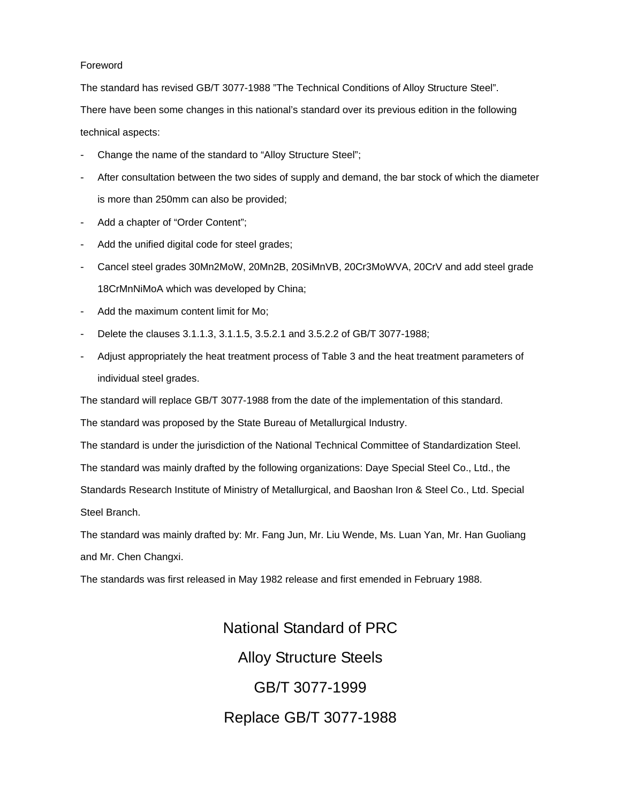#### Foreword

The standard has revised GB/T 3077-1988 "The Technical Conditions of Alloy Structure Steel".

There have been some changes in this national's standard over its previous edition in the following

technical aspects:

- Change the name of the standard to "Alloy Structure Steel";
- After consultation between the two sides of supply and demand, the bar stock of which the diameter is more than 250mm can also be provided;
- Add a chapter of "Order Content";
- Add the unified digital code for steel grades;
- Cancel steel grades 30Mn2MoW, 20Mn2B, 20SiMnVB, 20Cr3MoWVA, 20CrV and add steel grade 18CrMnNiMoA which was developed by China;
- Add the maximum content limit for Mo;
- Delete the clauses 3.1.1.3, 3.1.1.5, 3.5.2.1 and 3.5.2.2 of GB/T 3077-1988;
- Adjust appropriately the heat treatment process of Table 3 and the heat treatment parameters of individual steel grades.

The standard will replace GB/T 3077-1988 from the date of the implementation of this standard.

The standard was proposed by the State Bureau of Metallurgical Industry.

The standard is under the jurisdiction of the National Technical Committee of Standardization Steel. The standard was mainly drafted by the following organizations: Daye Special Steel Co., Ltd., the Standards Research Institute of Ministry of Metallurgical, and Baoshan Iron & Steel Co., Ltd. Special Steel Branch.

The standard was mainly drafted by: Mr. Fang Jun, Mr. Liu Wende, Ms. Luan Yan, Mr. Han Guoliang and Mr. Chen Changxi.

The standards was first released in May 1982 release and first emended in February 1988.

# National Standard of PRC Alloy Structure Steels GB/T 3077-1999 Replace GB/T 3077-1988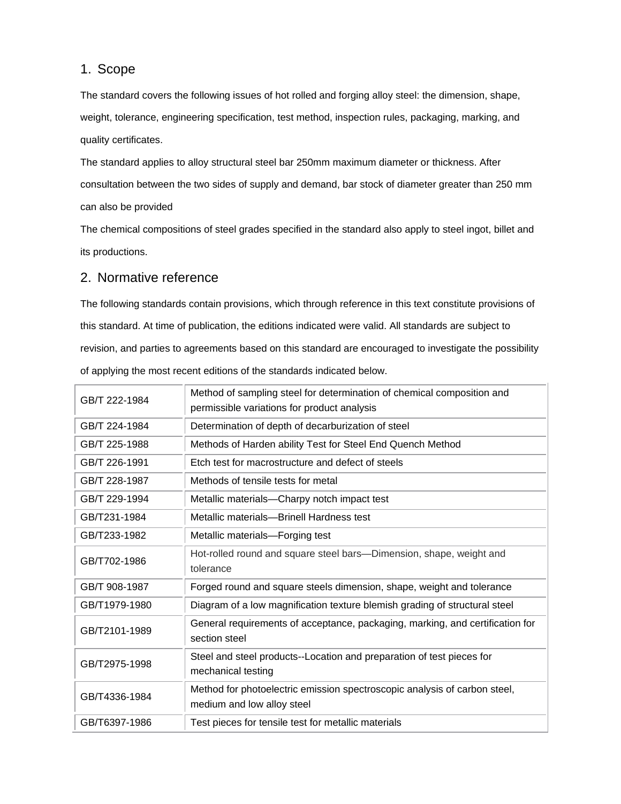#### 1. Scope

The standard covers the following issues of hot rolled and forging alloy steel: the dimension, shape, weight, tolerance, engineering specification, test method, inspection rules, packaging, marking, and quality certificates.

The standard applies to alloy structural steel bar 250mm maximum diameter or thickness. After consultation between the two sides of supply and demand, bar stock of diameter greater than 250 mm can also be provided

The chemical compositions of steel grades specified in the standard also apply to steel ingot, billet and its productions.

#### 2. Normative reference

The following standards contain provisions, which through reference in this text constitute provisions of this standard. At time of publication, the editions indicated were valid. All standards are subject to revision, and parties to agreements based on this standard are encouraged to investigate the possibility of applying the most recent editions of the standards indicated below.

| GB/T 222-1984 | Method of sampling steel for determination of chemical composition and<br>permissible variations for product analysis |
|---------------|-----------------------------------------------------------------------------------------------------------------------|
| GB/T 224-1984 | Determination of depth of decarburization of steel                                                                    |
| GB/T 225-1988 | Methods of Harden ability Test for Steel End Quench Method                                                            |
| GB/T 226-1991 | Etch test for macrostructure and defect of steels                                                                     |
| GB/T 228-1987 | Methods of tensile tests for metal                                                                                    |
| GB/T 229-1994 | Metallic materials-Charpy notch impact test                                                                           |
| GB/T231-1984  | Metallic materials-Brinell Hardness test                                                                              |
| GB/T233-1982  | Metallic materials-Forging test                                                                                       |
| GB/T702-1986  | Hot-rolled round and square steel bars-Dimension, shape, weight and<br>tolerance                                      |
| GB/T 908-1987 | Forged round and square steels dimension, shape, weight and tolerance                                                 |
| GB/T1979-1980 | Diagram of a low magnification texture blemish grading of structural steel                                            |
| GB/T2101-1989 | General requirements of acceptance, packaging, marking, and certification for<br>section steel                        |
| GB/T2975-1998 | Steel and steel products--Location and preparation of test pieces for<br>mechanical testing                           |
| GB/T4336-1984 | Method for photoelectric emission spectroscopic analysis of carbon steel,<br>medium and low alloy steel               |
| GB/T6397-1986 | Test pieces for tensile test for metallic materials                                                                   |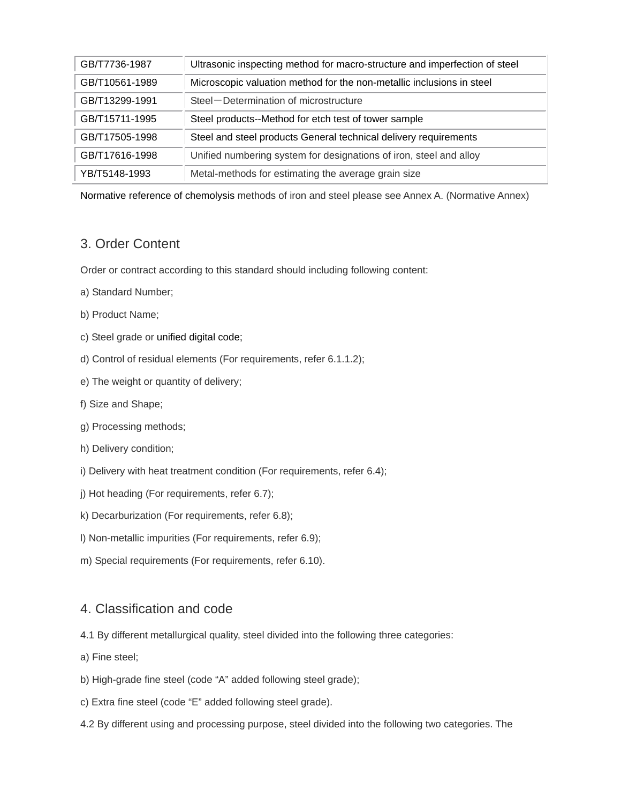| GB/T7736-1987  | Ultrasonic inspecting method for macro-structure and imperfection of steel |
|----------------|----------------------------------------------------------------------------|
| GB/T10561-1989 | Microscopic valuation method for the non-metallic inclusions in steel      |
| GB/T13299-1991 | Steel-Determination of microstructure                                      |
| GB/T15711-1995 | Steel products--Method for etch test of tower sample                       |
| GB/T17505-1998 | Steel and steel products General technical delivery requirements           |
| GB/T17616-1998 | Unified numbering system for designations of iron, steel and alloy         |
| YB/T5148-1993  | Metal-methods for estimating the average grain size                        |

Normative reference of chemolysis methods of iron and steel please see Annex A. (Normative Annex)

### 3. Order Content

Order or contract according to this standard should including following content:

- a) Standard Number;
- b) Product Name;
- c) Steel grade or unified digital code;
- d) Control of residual elements (For requirements, refer 6.1.1.2);
- e) The weight or quantity of delivery;
- f) Size and Shape;
- g) Processing methods;
- h) Delivery condition;
- i) Delivery with heat treatment condition (For requirements, refer 6.4);
- j) Hot heading (For requirements, refer 6.7);
- k) Decarburization (For requirements, refer 6.8);
- l) Non-metallic impurities (For requirements, refer 6.9);
- m) Special requirements (For requirements, refer 6.10).

### 4. Classification and code

- 4.1 By different metallurgical quality, steel divided into the following three categories:
- a) Fine steel;
- b) High-grade fine steel (code "A" added following steel grade);
- c) Extra fine steel (code "E" added following steel grade).
- 4.2 By different using and processing purpose, steel divided into the following two categories. The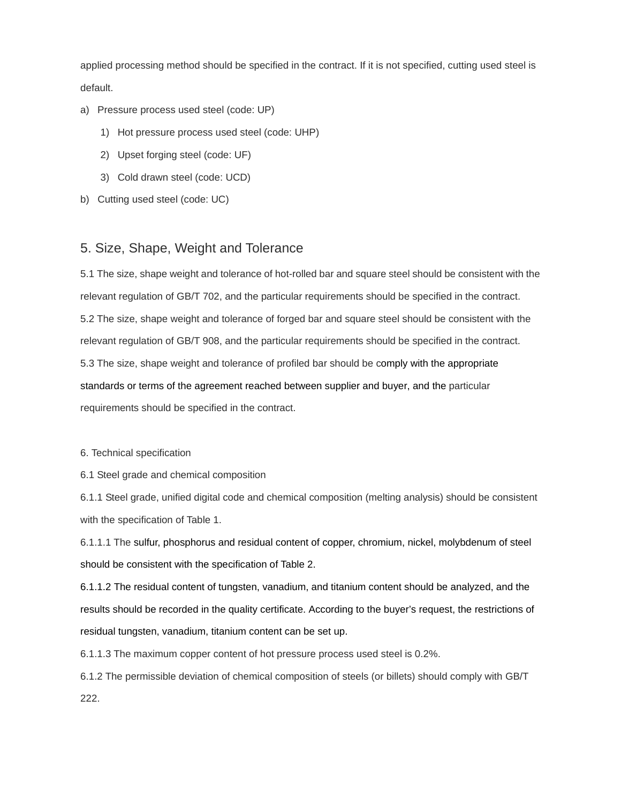applied processing method should be specified in the contract. If it is not specified, cutting used steel is default.

- a) Pressure process used steel (code: UP)
	- 1) Hot pressure process used steel (code: UHP)
	- 2) Upset forging steel (code: UF)
	- 3) Cold drawn steel (code: UCD)
- b) Cutting used steel (code: UC)

### 5. Size, Shape, Weight and Tolerance

5.1 The size, shape weight and tolerance of hot-rolled bar and square steel should be consistent with the relevant regulation of GB/T 702, and the particular requirements should be specified in the contract. 5.2 The size, shape weight and tolerance of forged bar and square steel should be consistent with the relevant regulation of GB/T 908, and the particular requirements should be specified in the contract. 5.3 The size, shape weight and tolerance of profiled bar should be comply with the appropriate standards or terms of the agreement reached between supplier and buyer, and the particular requirements should be specified in the contract.

6. Technical specification

6.1 Steel grade and chemical composition

6.1.1 Steel grade, unified digital code and chemical composition (melting analysis) should be consistent with the specification of Table 1.

6.1.1.1 The sulfur, phosphorus and residual content of copper, chromium, nickel, molybdenum of steel should be consistent with the specification of Table 2.

6.1.1.2 The residual content of tungsten, vanadium, and titanium content should be analyzed, and the results should be recorded in the quality certificate. According to the buyer's request, the restrictions of residual tungsten, vanadium, titanium content can be set up.

6.1.1.3 The maximum copper content of hot pressure process used steel is 0.2%.

6.1.2 The permissible deviation of chemical composition of steels (or billets) should comply with GB/T 222.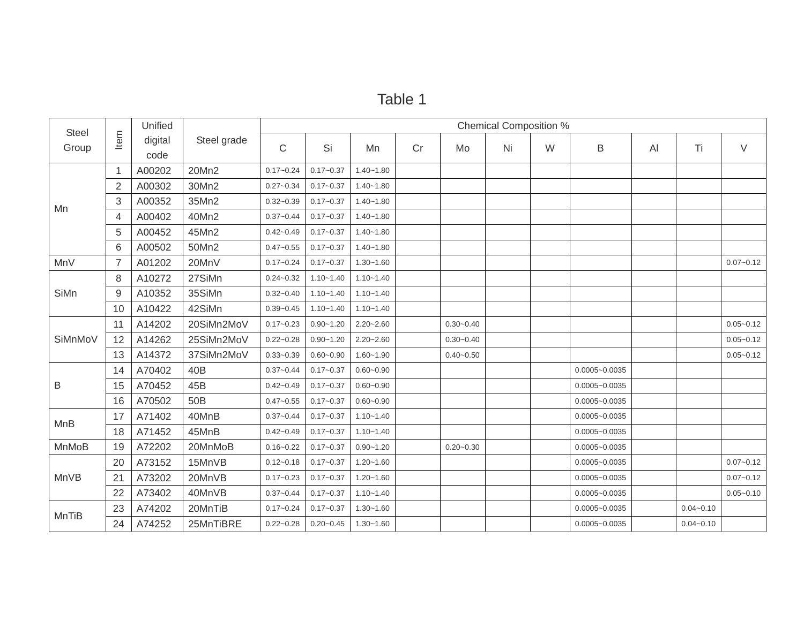| Table |  |
|-------|--|
|-------|--|

| <b>Steel</b> |                | Unified         |                 |               |               |               |    |               | <b>Chemical Composition %</b> |   |                   |    |               |               |
|--------------|----------------|-----------------|-----------------|---------------|---------------|---------------|----|---------------|-------------------------------|---|-------------------|----|---------------|---------------|
| Group        | Item           | digital<br>code | Steel grade     | $\mathsf C$   | Si            | Mn            | Cr | Mo            | Ni                            | W | B                 | AI | Ti            | $\vee$        |
|              | $\mathbf{1}$   | A00202          | 20Mn2           | $0.17 - 0.24$ | $0.17 - 0.37$ | $1.40 - 1.80$ |    |               |                               |   |                   |    |               |               |
|              | 2              | A00302          | 30Mn2           | $0.27 - 0.34$ | $0.17 - 0.37$ | $1.40 - 1.80$ |    |               |                               |   |                   |    |               |               |
| Mn           | 3              | A00352          | 35Mn2           | $0.32 - 0.39$ | $0.17 - 0.37$ | $1.40 - 1.80$ |    |               |                               |   |                   |    |               |               |
|              | 4              | A00402          | 40Mn2           | $0.37 - 0.44$ | $0.17 - 0.37$ | $1.40 - 1.80$ |    |               |                               |   |                   |    |               |               |
|              | 5              | A00452          | 45Mn2           | $0.42 - 0.49$ | $0.17 - 0.37$ | $1.40 - 1.80$ |    |               |                               |   |                   |    |               |               |
|              | 6              | A00502          | 50Mn2           | $0.47 - 0.55$ | $0.17 - 0.37$ | $1.40 - 1.80$ |    |               |                               |   |                   |    |               |               |
| MnV          | $\overline{7}$ | A01202          | 20MnV           | $0.17 - 0.24$ | $0.17 - 0.37$ | $1.30 - 1.60$ |    |               |                               |   |                   |    |               | $0.07 - 0.12$ |
|              | 8              | A10272          | 27SiMn          | $0.24 - 0.32$ | $1.10 - 1.40$ | $1.10 - 1.40$ |    |               |                               |   |                   |    |               |               |
| SiMn         | 9              | A10352          | 35SiMn          | $0.32 - 0.40$ | $1.10 - 1.40$ | $1.10 - 1.40$ |    |               |                               |   |                   |    |               |               |
|              | 10             | A10422          | 42SiMn          | $0.39 - 0.45$ | $1.10 - 1.40$ | $1.10 - 1.40$ |    |               |                               |   |                   |    |               |               |
|              | 11             | A14202          | 20SiMn2MoV      | $0.17 - 0.23$ | $0.90 - 1.20$ | $2.20 - 2.60$ |    | $0.30 - 0.40$ |                               |   |                   |    |               | $0.05 - 0.12$ |
| SiMnMoV      | 12             | A14262          | 25SiMn2MoV      | $0.22 - 0.28$ | $0.90 - 1.20$ | $2.20 - 2.60$ |    | $0.30 - 0.40$ |                               |   |                   |    |               | $0.05 - 0.12$ |
|              | 13             | A14372          | 37SiMn2MoV      | $0.33 - 0.39$ | $0.60 - 0.90$ | $1.60 - 1.90$ |    | $0.40 - 0.50$ |                               |   |                   |    |               | $0.05 - 0.12$ |
|              | 14             | A70402          | 40 <sub>B</sub> | $0.37 - 0.44$ | $0.17 - 0.37$ | $0.60 - 0.90$ |    |               |                               |   | $0.0005 - 0.0035$ |    |               |               |
| Β            | 15             | A70452          | 45B             | $0.42 - 0.49$ | $0.17 - 0.37$ | $0.60 - 0.90$ |    |               |                               |   | $0.0005 - 0.0035$ |    |               |               |
|              | 16             | A70502          | 50 <sub>B</sub> | $0.47 - 0.55$ | $0.17 - 0.37$ | $0.60 - 0.90$ |    |               |                               |   | $0.0005 - 0.0035$ |    |               |               |
| <b>MnB</b>   | 17             | A71402          | 40MnB           | $0.37 - 0.44$ | $0.17 - 0.37$ | $1.10 - 1.40$ |    |               |                               |   | $0.0005 - 0.0035$ |    |               |               |
|              | 18             | A71452          | 45MnB           | $0.42 - 0.49$ | $0.17 - 0.37$ | $1.10 - 1.40$ |    |               |                               |   | $0.0005 - 0.0035$ |    |               |               |
| MnMoB        | 19             | A72202          | 20MnMoB         | $0.16 - 0.22$ | $0.17 - 0.37$ | $0.90 - 1.20$ |    | $0.20 - 0.30$ |                               |   | $0.0005 - 0.0035$ |    |               |               |
|              | 20             | A73152          | 15MnVB          | $0.12 - 0.18$ | $0.17 - 0.37$ | $1.20 - 1.60$ |    |               |                               |   | $0.0005 - 0.0035$ |    |               | $0.07 - 0.12$ |
| <b>MnVB</b>  | 21             | A73202          | 20MnVB          | $0.17 - 0.23$ | $0.17 - 0.37$ | $1.20 - 1.60$ |    |               |                               |   | $0.0005 - 0.0035$ |    |               | $0.07 - 0.12$ |
|              | 22             | A73402          | 40MnVB          | $0.37 - 0.44$ | $0.17 - 0.37$ | $1.10 - 1.40$ |    |               |                               |   | $0.0005 - 0.0035$ |    |               | $0.05 - 0.10$ |
| <b>MnTiB</b> | 23             | A74202          | 20MnTiB         | $0.17 - 0.24$ | $0.17 - 0.37$ | $1.30 - 1.60$ |    |               |                               |   | $0.0005 - 0.0035$ |    | $0.04 - 0.10$ |               |
|              | 24             | A74252          | 25MnTiBRE       | $0.22 - 0.28$ | $0.20 - 0.45$ | $1.30 - 1.60$ |    |               |                               |   | $0.0005 - 0.0035$ |    | $0.04 - 0.10$ |               |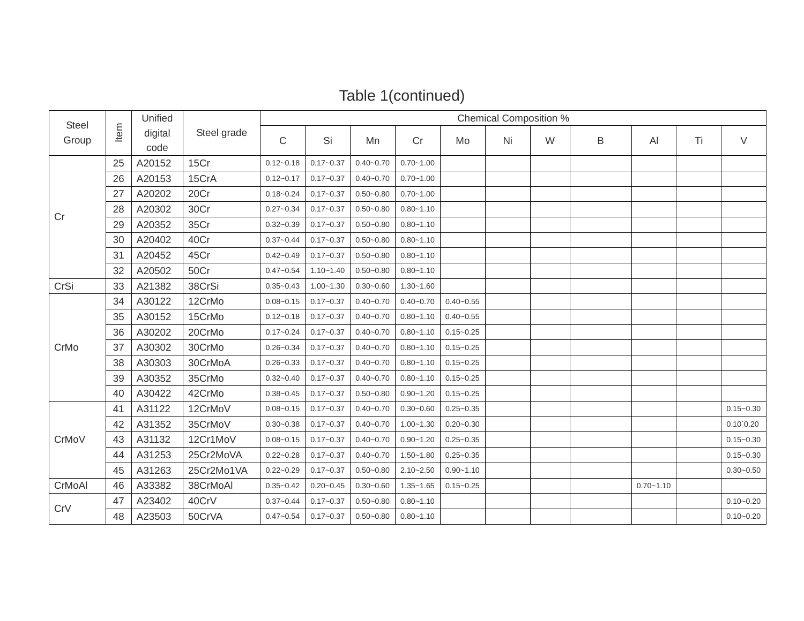## Table 1(continued)

| <b>Steel</b> |      | Unified         |             | <b>Chemical Composition %</b> |               |               |               |               |    |   |   |               |    |                    |  |
|--------------|------|-----------------|-------------|-------------------------------|---------------|---------------|---------------|---------------|----|---|---|---------------|----|--------------------|--|
| Group        | Item | digital<br>code | Steel grade | $\mathsf C$                   | Si            | Mn            | Cr            | Mo            | Ni | W | B | AI            | Ti | $\vee$             |  |
|              | 25   | A20152          | 15Cr        | $0.12 - 0.18$                 | $0.17 - 0.37$ | $0.40 - 0.70$ | $0.70 - 1.00$ |               |    |   |   |               |    |                    |  |
|              | 26   | A20153          | 15CrA       | $0.12 - 0.17$                 | $0.17 - 0.37$ | $0.40 - 0.70$ | $0.70 - 1.00$ |               |    |   |   |               |    |                    |  |
|              | 27   | A20202          | 20Cr        | $0.18 - 0.24$                 | $0.17 - 0.37$ | $0.50 - 0.80$ | $0.70 - 1.00$ |               |    |   |   |               |    |                    |  |
| Cr           | 28   | A20302          | 30Cr        | $0.27 - 0.34$                 | $0.17 - 0.37$ | $0.50 - 0.80$ | $0.80 - 1.10$ |               |    |   |   |               |    |                    |  |
|              | 29   | A20352          | 35Cr        | $0.32 - 0.39$                 | $0.17 - 0.37$ | $0.50 - 0.80$ | $0.80 - 1.10$ |               |    |   |   |               |    |                    |  |
|              | 30   | A20402          | 40Cr        | $0.37 - 0.44$                 | $0.17 - 0.37$ | $0.50 - 0.80$ | $0.80 - 1.10$ |               |    |   |   |               |    |                    |  |
|              | 31   | A20452          | 45Cr        | $0.42 - 0.49$                 | $0.17 - 0.37$ | $0.50 - 0.80$ | $0.80 - 1.10$ |               |    |   |   |               |    |                    |  |
|              | 32   | A20502          | 50Cr        | $0.47 - 0.54$                 | $1.10 - 1.40$ | $0.50 - 0.80$ | $0.80 - 1.10$ |               |    |   |   |               |    |                    |  |
| CrSi         | 33   | A21382          | 38CrSi      | $0.35 - 0.43$                 | $1.00 - 1.30$ | $0.30 - 0.60$ | $1.30 - 1.60$ |               |    |   |   |               |    |                    |  |
|              | 34   | A30122          | 12CrMo      | $0.08 - 0.15$                 | $0.17 - 0.37$ | $0.40 - 0.70$ | $0.40 - 0.70$ | $0.40 - 0.55$ |    |   |   |               |    |                    |  |
|              | 35   | A30152          | 15CrMo      | $0.12 - 0.18$                 | $0.17 - 0.37$ | $0.40 - 0.70$ | $0.80 - 1.10$ | $0.40 - 0.55$ |    |   |   |               |    |                    |  |
|              | 36   | A30202          | 20CrMo      | $0.17 - 0.24$                 | $0.17 - 0.37$ | $0.40 - 0.70$ | $0.80 - 1.10$ | $0.15 - 0.25$ |    |   |   |               |    |                    |  |
| CrMo         | 37   | A30302          | 30CrMo      | $0.26 - 0.34$                 | $0.17 - 0.37$ | $0.40 - 0.70$ | $0.80 - 1.10$ | $0.15 - 0.25$ |    |   |   |               |    |                    |  |
|              | 38   | A30303          | 30CrMoA     | $0.26 - 0.33$                 | $0.17 - 0.37$ | $0.40 - 0.70$ | $0.80 - 1.10$ | $0.15 - 0.25$ |    |   |   |               |    |                    |  |
|              | 39   | A30352          | 35CrMo      | $0.32 - 0.40$                 | $0.17 - 0.37$ | $0.40 - 0.70$ | $0.80 - 1.10$ | $0.15 - 0.25$ |    |   |   |               |    |                    |  |
|              | 40   | A30422          | 42CrMo      | $0.38 - 0.45$                 | $0.17 - 0.37$ | $0.50 - 0.80$ | $0.90 - 1.20$ | $0.15 - 0.25$ |    |   |   |               |    |                    |  |
|              | 41   | A31122          | 12CrMoV     | $0.08 - 0.15$                 | $0.17 - 0.37$ | $0.40 - 0.70$ | $0.30 - 0.60$ | $0.25 - 0.35$ |    |   |   |               |    | $0.15 - 0.30$      |  |
|              | 42   | A31352          | 35CrMoV     | $0.30 - 0.38$                 | $0.17 - 0.37$ | $0.40 - 0.70$ | $1.00 - 1.30$ | $0.20 - 0.30$ |    |   |   |               |    | $0.10^{\circ}0.20$ |  |
| CrMoV        | 43   | A31132          | 12Cr1MoV    | $0.08 - 0.15$                 | $0.17 - 0.37$ | $0.40 - 0.70$ | $0.90 - 1.20$ | $0.25 - 0.35$ |    |   |   |               |    | $0.15 - 0.30$      |  |
|              | 44   | A31253          | 25Cr2MoVA   | $0.22 - 0.28$                 | $0.17 - 0.37$ | $0.40 - 0.70$ | $1.50 - 1.80$ | $0.25 - 0.35$ |    |   |   |               |    | $0.15 - 0.30$      |  |
|              | 45   | A31263          | 25Cr2Mo1VA  | $0.22 - 0.29$                 | $0.17 - 0.37$ | $0.50 - 0.80$ | $2.10 - 2.50$ | $0.90 - 1.10$ |    |   |   |               |    | $0.30 - 0.50$      |  |
| CrMoAl       | 46   | A33382          | 38CrMoAl    | $0.35 - 0.42$                 | $0.20 - 0.45$ | $0.30 - 0.60$ | $1.35 - 1.65$ | $0.15 - 0.25$ |    |   |   | $0.70 - 1.10$ |    |                    |  |
| CrV          | 47   | A23402          | 40CrV       | $0.37 - 0.44$                 | $0.17 - 0.37$ | $0.50 - 0.80$ | $0.80 - 1.10$ |               |    |   |   |               |    | $0.10 - 0.20$      |  |
|              | 48   | A23503          | 50CrVA      | $0.47 - 0.54$                 | $0.17 - 0.37$ | $0.50 - 0.80$ | $0.80 - 1.10$ |               |    |   |   |               |    | $0.10 - 0.20$      |  |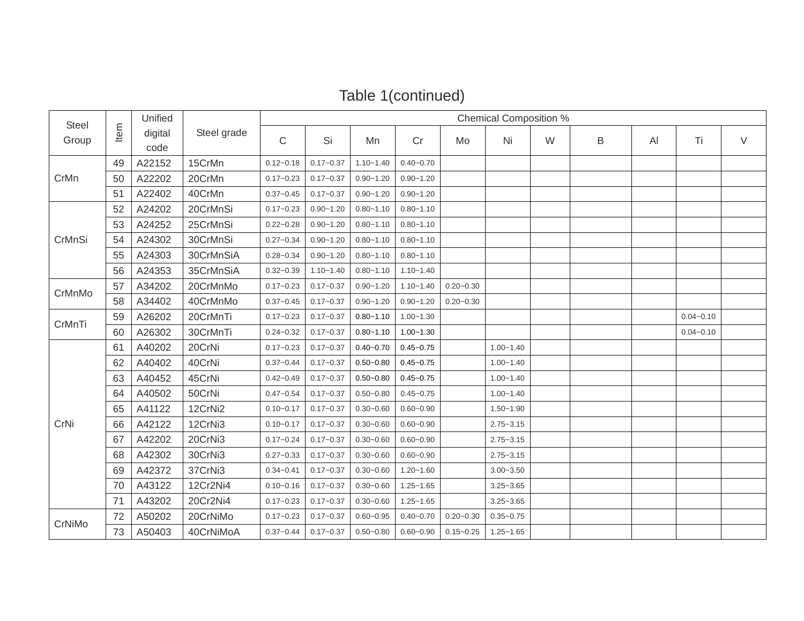## Table 1(continued)

| <b>Steel</b> |      | Unified         |             |               |               |               |               |               | <b>Chemical Composition %</b> |   |   |    |               |        |
|--------------|------|-----------------|-------------|---------------|---------------|---------------|---------------|---------------|-------------------------------|---|---|----|---------------|--------|
| Group        | Item | digital<br>code | Steel grade | $\mathsf C$   | Si            | Mn            | Cr            | Mo            | Ni                            | W | B | AI | Ti            | $\vee$ |
|              | 49   | A22152          | 15CrMn      | $0.12 - 0.18$ | $0.17 - 0.37$ | $1.10 - 1.40$ | $0.40 - 0.70$ |               |                               |   |   |    |               |        |
| CrMn         | 50   | A22202          | 20CrMn      | $0.17 - 0.23$ | $0.17 - 0.37$ | $0.90 - 1.20$ | $0.90 - 1.20$ |               |                               |   |   |    |               |        |
|              | 51   | A22402          | 40CrMn      | $0.37 - 0.45$ | $0.17 - 0.37$ | $0.90 - 1.20$ | $0.90 - 1.20$ |               |                               |   |   |    |               |        |
|              | 52   | A24202          | 20CrMnSi    | $0.17 - 0.23$ | $0.90 - 1.20$ | $0.80 - 1.10$ | $0.80 - 1.10$ |               |                               |   |   |    |               |        |
|              | 53   | A24252          | 25CrMnSi    | $0.22 - 0.28$ | $0.90 - 1.20$ | $0.80 - 1.10$ | $0.80 - 1.10$ |               |                               |   |   |    |               |        |
| CrMnSi       | 54   | A24302          | 30CrMnSi    | $0.27 - 0.34$ | $0.90 - 1.20$ | $0.80 - 1.10$ | $0.80 - 1.10$ |               |                               |   |   |    |               |        |
|              | 55   | A24303          | 30CrMnSiA   | $0.28 - 0.34$ | $0.90 - 1.20$ | $0.80 - 1.10$ | $0.80 - 1.10$ |               |                               |   |   |    |               |        |
|              | 56   | A24353          | 35CrMnSiA   | $0.32 - 0.39$ | $1.10 - 1.40$ | $0.80 - 1.10$ | $1.10 - 1.40$ |               |                               |   |   |    |               |        |
| CrMnMo       | 57   | A34202          | 20CrMnMo    | $0.17 - 0.23$ | $0.17 - 0.37$ | $0.90 - 1.20$ | $1.10 - 1.40$ | $0.20 - 0.30$ |                               |   |   |    |               |        |
|              | 58   | A34402          | 40CrMnMo    | $0.37 - 0.45$ | $0.17 - 0.37$ | $0.90 - 1.20$ | $0.90 - 1.20$ | $0.20 - 0.30$ |                               |   |   |    |               |        |
| CrMnTi       | 59   | A26202          | 20CrMnTi    | $0.17 - 0.23$ | $0.17 - 0.37$ | $0.80 - 1.10$ | $1.00 - 1.30$ |               |                               |   |   |    | $0.04 - 0.10$ |        |
|              | 60   | A26302          | 30CrMnTi    | $0.24 - 0.32$ | $0.17 - 0.37$ | $0.80 - 1.10$ | $1.00 - 1.30$ |               |                               |   |   |    | $0.04 - 0.10$ |        |
|              | 61   | A40202          | 20CrNi      | $0.17 - 0.23$ | $0.17 - 0.37$ | $0.40 - 0.70$ | $0.45 - 0.75$ |               | $1.00 - 1.40$                 |   |   |    |               |        |
|              | 62   | A40402          | 40CrNi      | $0.37 - 0.44$ | $0.17 - 0.37$ | $0.50 - 0.80$ | $0.45 - 0.75$ |               | $1.00 - 1.40$                 |   |   |    |               |        |
|              | 63   | A40452          | 45CrNi      | $0.42 - 0.49$ | $0.17 - 0.37$ | $0.50 - 0.80$ | $0.45 - 0.75$ |               | $1.00 - 1.40$                 |   |   |    |               |        |
|              | 64   | A40502          | 50CrNi      | $0.47 - 0.54$ | $0.17 - 0.37$ | $0.50 - 0.80$ | $0.45 - 0.75$ |               | $1.00 - 1.40$                 |   |   |    |               |        |
|              | 65   | A41122          | 12CrNi2     | $0.10 - 0.17$ | $0.17 - 0.37$ | $0.30 - 0.60$ | $0.60 - 0.90$ |               | $1.50 - 1.90$                 |   |   |    |               |        |
| CrNi         | 66   | A42122          | 12CrNi3     | $0.10 - 0.17$ | $0.17 - 0.37$ | $0.30 - 0.60$ | $0.60 - 0.90$ |               | $2.75 - 3.15$                 |   |   |    |               |        |
|              | 67   | A42202          | 20CrNi3     | $0.17 - 0.24$ | $0.17 - 0.37$ | $0.30 - 0.60$ | $0.60 - 0.90$ |               | $2.75 - 3.15$                 |   |   |    |               |        |
|              | 68   | A42302          | 30CrNi3     | $0.27 - 0.33$ | $0.17 - 0.37$ | $0.30 - 0.60$ | $0.60 - 0.90$ |               | $2.75 - 3.15$                 |   |   |    |               |        |
|              | 69   | A42372          | 37CrNi3     | $0.34 - 0.41$ | $0.17 - 0.37$ | $0.30 - 0.60$ | $1.20 - 1.60$ |               | $3.00 - 3.50$                 |   |   |    |               |        |
|              | 70   | A43122          | 12Cr2Ni4    | $0.10 - 0.16$ | $0.17 - 0.37$ | $0.30 - 0.60$ | $1.25 - 1.65$ |               | $3.25 - 3.65$                 |   |   |    |               |        |
|              | 71   | A43202          | 20Cr2Ni4    | $0.17 - 0.23$ | $0.17 - 0.37$ | $0.30 - 0.60$ | $1.25 - 1.65$ |               | $3.25 - 3.65$                 |   |   |    |               |        |
| CrNiMo       | 72   | A50202          | 20CrNiMo    | $0.17 - 0.23$ | $0.17 - 0.37$ | $0.60 - 0.95$ | $0.40 - 0.70$ | $0.20 - 0.30$ | $0.35 - 0.75$                 |   |   |    |               |        |
|              | 73   | A50403          | 40CrNiMoA   | $0.37 - 0.44$ | $0.17 - 0.37$ | $0.50 - 0.80$ | $0.60 - 0.90$ | $0.15 - 0.25$ | $1.25 - 1.65$                 |   |   |    |               |        |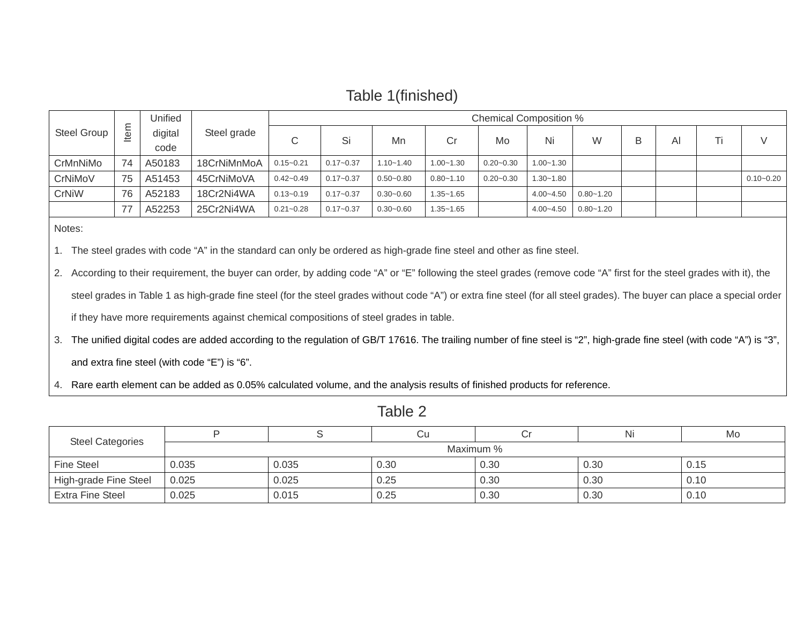## Table 1(finished)

|             |      | Unified |             | <b>Chemical Composition %</b> |               |               |               |               |               |               |  |                |  |               |  |
|-------------|------|---------|-------------|-------------------------------|---------------|---------------|---------------|---------------|---------------|---------------|--|----------------|--|---------------|--|
| Steel Group | lter | digital | Steel grade |                               | Si            | Mn            |               | Mo            | Ni            | W             |  | A <sub>1</sub> |  |               |  |
|             |      | code    |             |                               |               |               |               |               |               |               |  |                |  |               |  |
| CrMnNiMo    | 74   | A50183  | 18CrNiMnMoA | $0.15 - 0.21$                 | $0.17 - 0.37$ | $1.10 - 1.40$ | $1.00 - 1.30$ | $0.20 - 0.30$ | $1.00 - 1.30$ |               |  |                |  |               |  |
| CrNiMoV     | 75   | A51453  | 45CrNiMoVA  | $0.42 - 0.49$                 | $0.17 - 0.37$ | $0.50 - 0.80$ | $0.80 - 1.10$ | $0.20 - 0.30$ | $1.30 - 1.80$ |               |  |                |  | $0.10 - 0.20$ |  |
| CrNiW       | 76   | A52183  | 18Cr2Ni4WA  | $0.13 - 0.19$                 | $0.17 - 0.37$ | $0.30 - 0.60$ | $1.35 - 1.65$ |               | $4.00 - 4.50$ | $0.80 - 1.20$ |  |                |  |               |  |
|             |      | A52253  | 25Cr2Ni4WA  | $0.21 - 0.28$                 | $0.17 - 0.37$ | $0.30 - 0.60$ | $1.35 - 1.65$ |               | $4.00 - 4.50$ | $0.80 - 1.20$ |  |                |  |               |  |

Notes:

1. The steel grades with code "A" in the standard can only be ordered as high-grade fine steel and other as fine steel.

2. According to their requirement, the buyer can order, by adding code "A" or "E" following the steel grades (remove code "A" first for the steel grades with it), the steel grades in Table 1 as high-grade fine steel (for the steel grades without code "A") or extra fine steel (for all steel grades). The buyer can place a special order if they have more requirements against chemical compositions of steel grades in table.

3. The unified digital codes are added according to the regulation of GB/T 17616. The trailing number of fine steel is "2", high-grade fine steel (with code "A") is "3", and extra fine steel (with code "E") is "6".

4. Rare earth element can be added as 0.05% calculated volume, and the analysis results of finished products for reference.

|                         |       |       | $I$ avit $\sigma$ 2 |           |      |      |
|-------------------------|-------|-------|---------------------|-----------|------|------|
| <b>Steel Categories</b> |       |       | Cu                  | Cr        | Ni   | Mo   |
|                         |       |       |                     | Maximum % |      |      |
| <b>Fine Steel</b>       | 0.035 | 0.035 | 0.30                | 0.30      | 0.30 | 0.15 |
| High-grade Fine Steel   | 0.025 | 0.025 | 0.25                | 0.30      | 0.30 | 0.10 |
| <b>Extra Fine Steel</b> | 0.025 | 0.015 | 0.25                | 0.30      | 0.30 | 0.10 |

Table 2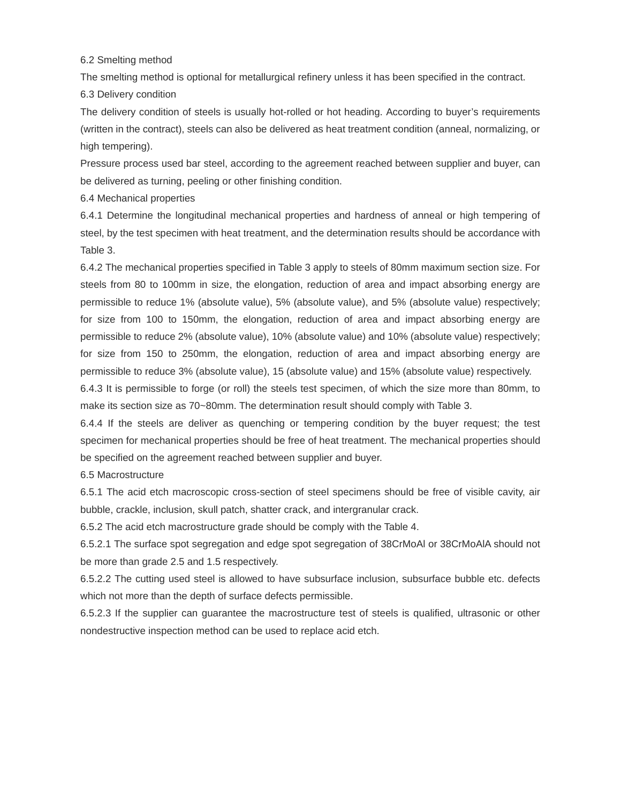6.2 Smelting method

The smelting method is optional for metallurgical refinery unless it has been specified in the contract.

6.3 Delivery condition

The delivery condition of steels is usually hot-rolled or hot heading. According to buyer's requirements (written in the contract), steels can also be delivered as heat treatment condition (anneal, normalizing, or high tempering).

Pressure process used bar steel, according to the agreement reached between supplier and buyer, can be delivered as turning, peeling or other finishing condition.

6.4 Mechanical properties

6.4.1 Determine the longitudinal mechanical properties and hardness of anneal or high tempering of steel, by the test specimen with heat treatment, and the determination results should be accordance with Table 3.

6.4.2 The mechanical properties specified in Table 3 apply to steels of 80mm maximum section size. For steels from 80 to 100mm in size, the elongation, reduction of area and impact absorbing energy are permissible to reduce 1% (absolute value), 5% (absolute value), and 5% (absolute value) respectively; for size from 100 to 150mm, the elongation, reduction of area and impact absorbing energy are permissible to reduce 2% (absolute value), 10% (absolute value) and 10% (absolute value) respectively; for size from 150 to 250mm, the elongation, reduction of area and impact absorbing energy are permissible to reduce 3% (absolute value), 15 (absolute value) and 15% (absolute value) respectively.

6.4.3 It is permissible to forge (or roll) the steels test specimen, of which the size more than 80mm, to make its section size as 70~80mm. The determination result should comply with Table 3.

6.4.4 If the steels are deliver as quenching or tempering condition by the buyer request; the test specimen for mechanical properties should be free of heat treatment. The mechanical properties should be specified on the agreement reached between supplier and buyer.

6.5 Macrostructure

6.5.1 The acid etch macroscopic cross-section of steel specimens should be free of visible cavity, air bubble, crackle, inclusion, skull patch, shatter crack, and intergranular crack.

6.5.2 The acid etch macrostructure grade should be comply with the Table 4.

6.5.2.1 The surface spot segregation and edge spot segregation of 38CrMoAl or 38CrMoAlA should not be more than grade 2.5 and 1.5 respectively.

6.5.2.2 The cutting used steel is allowed to have subsurface inclusion, subsurface bubble etc. defects which not more than the depth of surface defects permissible.

6.5.2.3 If the supplier can guarantee the macrostructure test of steels is qualified, ultrasonic or other nondestructive inspection method can be used to replace acid etch.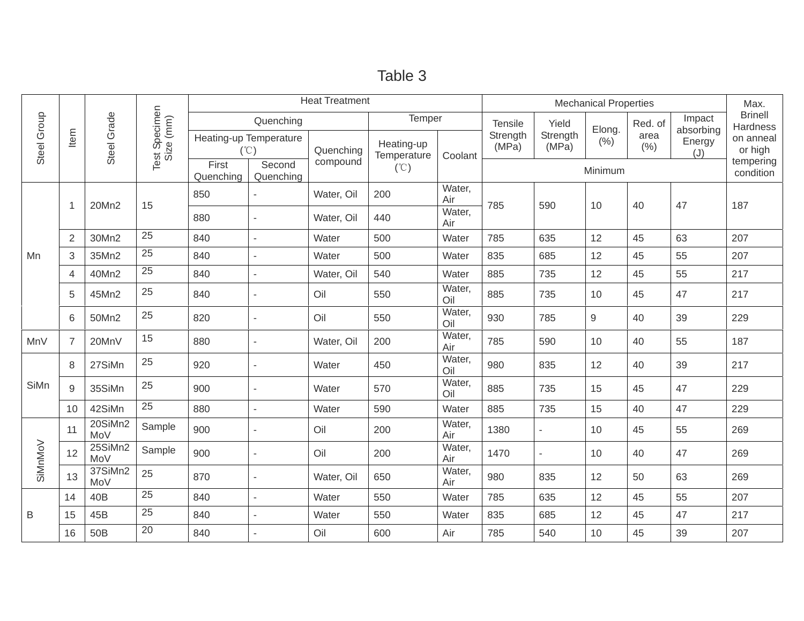| Table |  |
|-------|--|
|-------|--|

|             |                |                 |                  |                                |                          | <b>Heat Treatment</b> |                           |               |                   |                          | <b>Mechanical Properties</b> |             |                     | Max.                       |
|-------------|----------------|-----------------|------------------|--------------------------------|--------------------------|-----------------------|---------------------------|---------------|-------------------|--------------------------|------------------------------|-------------|---------------------|----------------------------|
|             |                |                 | Specimen<br>(mm) |                                | Quenching                |                       | Temper                    |               | <b>Tensile</b>    | Yield                    | Elong.                       | Red. of     | Impact<br>absorbing | <b>Brinell</b><br>Hardness |
| Steel Group | Item           | Steel Grade     | Test Spe         | Heating-up Temperature<br>(°C) |                          | Quenching             | Heating-up<br>Temperature | Coolant       | Strength<br>(MPa) | Strength<br>(MPa)        | (%)                          | area<br>(%) | Energy<br>(J)       | on anneal<br>or high       |
|             |                |                 |                  | First<br>Quenching             | Second<br>Quenching      | compound              | (°C)                      |               |                   |                          | Minimum                      |             |                     | tempering<br>condition     |
|             | -1             | 20Mn2           | 15               | 850                            |                          | Water, Oil            | 200                       | Water,<br>Air | 785               | 590                      | 10                           | 40          | 47                  | 187                        |
|             |                |                 |                  | 880                            | $\sim$                   | Water, Oil            | 440                       | Water,<br>Air |                   |                          |                              |             |                     |                            |
|             | 2              | 30Mn2           | 25               | 840                            | $\mathbf{r}$             | Water                 | 500                       | Water         | 785               | 635                      | 12                           | 45          | 63                  | 207                        |
| Mn          | 3              | 35Mn2           | 25               | 840                            | $\overline{\phantom{a}}$ | Water                 | 500                       | Water         | 835               | 685                      | 12                           | 45          | 55                  | 207                        |
|             | $\overline{4}$ | 40Mn2           | 25               | 840                            | $\overline{\phantom{a}}$ | Water, Oil            | 540                       | Water         | 885               | 735                      | 12                           | 45          | 55                  | 217                        |
|             | 5              | 45Mn2           | 25               | 840                            | $\blacksquare$           | Oil                   | 550                       | Water,<br>Oil | 885               | 735                      | 10                           | 45          | 47                  | 217                        |
|             | 6              | 50Mn2           | 25               | 820                            | $\blacksquare$           | Oil                   | 550                       | Water,<br>Oil | 930               | 785                      | $\mathsf 9$                  | 40          | 39                  | 229                        |
| MnV         | $\overline{7}$ | 20MnV           | 15               | 880                            | $\blacksquare$           | Water, Oil            | 200                       | Water,<br>Air | 785               | 590                      | 10                           | 40          | 55                  | 187                        |
|             | 8              | 27SiMn          | 25               | 920                            | $\overline{\phantom{a}}$ | Water                 | 450                       | Water,<br>Oil | 980               | 835                      | 12                           | 40          | 39                  | 217                        |
| SiMn        | 9              | 35SiMn          | 25               | 900                            | $\blacksquare$           | Water                 | 570                       | Water,<br>Oil | 885               | 735                      | 15                           | 45          | 47                  | 229                        |
|             | 10             | 42SiMn          | 25               | 880                            | ÷,                       | Water                 | 590                       | Water         | 885               | 735                      | 15                           | 40          | 47                  | 229                        |
|             | 11             | 20SiMn2<br>MoV  | Sample           | 900                            | $\overline{\phantom{a}}$ | Oil                   | 200                       | Water,<br>Air | 1380              | $\overline{\phantom{a}}$ | 10                           | 45          | 55                  | 269                        |
| SiMnMoV     | 12             | 25SiMn2<br>MoV  | Sample           | 900                            | $\sim$                   | Oil                   | 200                       | Water,<br>Air | 1470              | L.                       | 10                           | 40          | 47                  | 269                        |
|             | 13             | 37SiMn2<br>MoV  | 25               | 870                            | $\blacksquare$           | Water, Oil            | 650                       | Water,<br>Air | 980               | 835                      | 12                           | 50          | 63                  | 269                        |
|             | 14             | 40B             | 25               | 840                            | $\overline{\phantom{a}}$ | Water                 | 550                       | Water         | 785               | 635                      | 12                           | 45          | 55                  | 207                        |
| B           | 15             | 45B             | $\overline{25}$  | 840                            | $\overline{\phantom{a}}$ | Water                 | 550                       | Water         | 835               | 685                      | 12                           | 45          | 47                  | 217                        |
|             | 16             | 50 <sub>B</sub> | 20               | 840                            |                          | Oil                   | 600                       | Air           | 785               | 540                      | 10                           | 45          | 39                  | 207                        |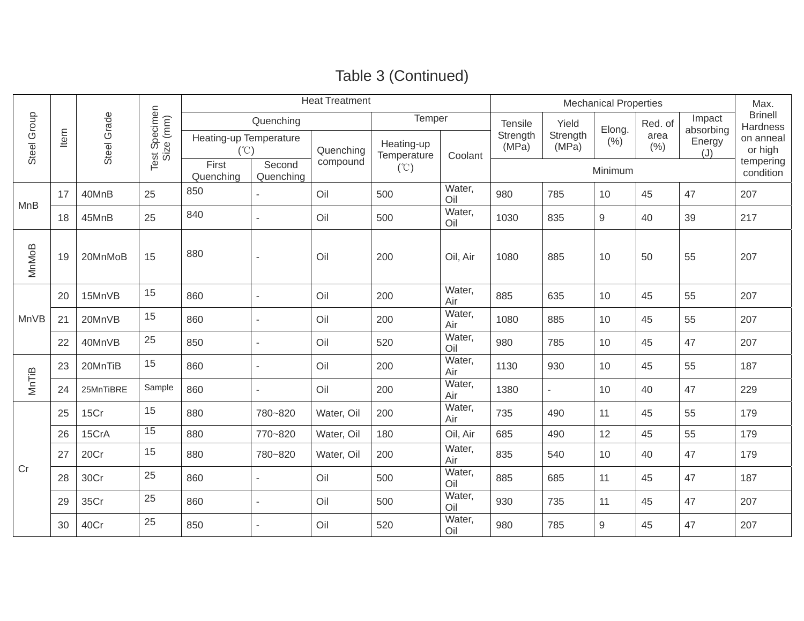|             |      |             |                     | <b>Heat Treatment</b>          |                          |            |                           |               |                   | <b>Mechanical Properties</b> |            |              |                     |                            |  |
|-------------|------|-------------|---------------------|--------------------------------|--------------------------|------------|---------------------------|---------------|-------------------|------------------------------|------------|--------------|---------------------|----------------------------|--|
|             |      |             | (mm)                |                                | Quenching                |            | Temper                    |               | Tensile           | Yield                        | Elong.     | Red. of      | Impact<br>absorbing | <b>Brinell</b><br>Hardness |  |
| Steel Group | Item | Steel Grade | Specimen<br>Test Sp | Heating-up Temperature<br>(°C) |                          | Quenching  | Heating-up<br>Temperature | Coolant       | Strength<br>(MPa) | Strength<br>(MPa)            | (% )       | area<br>(% ) | Energy<br>(J)       | on anneal<br>or high       |  |
|             |      |             |                     | First<br>Quenching             | Second<br>Quenching      | compound   | (°C)                      |               |                   |                              | Minimum    |              |                     | tempering<br>condition     |  |
| <b>MnB</b>  | 17   | 40MnB       | 25                  | 850                            | $\overline{a}$           | Oil        | 500                       | Water,<br>Oil | 980               | 785                          | 10         | 45           | 47                  | 207                        |  |
|             | 18   | 45MnB       | 25                  | 840                            | $\overline{\phantom{a}}$ | Oil        | 500                       | Water,<br>Oil | 1030              | 835                          | $\hbox{9}$ | 40           | 39                  | 217                        |  |
| MnMoB       | 19   | 20MnMoB     | 15                  | 880                            | $\overline{a}$           | Oil        | 200                       | Oil, Air      | 1080              | 885                          | 10         | 50           | 55                  | 207                        |  |
|             | 20   | 15MnVB      | 15                  | 860                            | $\overline{a}$           | Oil        | 200                       | Water,<br>Air | 885               | 635                          | 10         | 45           | 55                  | 207                        |  |
| <b>MnVB</b> | 21   | 20MnVB      | 15                  | 860                            | L.                       | Oil        | 200                       | Water,<br>Air | 1080              | 885                          | 10         | 45           | 55                  | 207                        |  |
|             | 22   | 40MnVB      | 25                  | 850                            | $\overline{a}$           | Oil        | 520                       | Water,<br>Oil | 980               | 785                          | 10         | 45           | 47                  | 207                        |  |
|             | 23   | 20MnTiB     | 15                  | 860                            | $\mathbf{r}$             | Oil        | 200                       | Water,<br>Air | 1130              | 930                          | 10         | 45           | 55                  | 187                        |  |
| MnTiB       | 24   | 25MnTiBRE   | Sample              | 860                            | $\overline{\phantom{a}}$ | Oil        | 200                       | Water,<br>Air | 1380              | $\tilde{\phantom{a}}$        | 10         | 40           | 47                  | 229                        |  |
|             | 25   | 15Cr        | 15                  | 880                            | 780~820                  | Water, Oil | 200                       | Water,<br>Air | 735               | 490                          | 11         | 45           | 55                  | 179                        |  |
|             | 26   | 15CrA       | 15                  | 880                            | 770~820                  | Water, Oil | 180                       | Oil, Air      | 685               | 490                          | 12         | 45           | 55                  | 179                        |  |
|             | 27   | 20Cr        | 15                  | 880                            | 780~820                  | Water, Oil | 200                       | Water,<br>Air | 835               | 540                          | 10         | 40           | 47                  | 179                        |  |
| Cr          | 28   | 30Cr        | 25                  | 860                            | $\overline{a}$           | Oil        | 500                       | Water,<br>Oil | 885               | 685                          | 11         | 45           | 47                  | 187                        |  |
|             | 29   | 35Cr        | 25                  | 860                            | $\overline{\phantom{a}}$ | Oil        | 500                       | Water,<br>Oil | 930               | 735                          | 11         | 45           | 47                  | 207                        |  |
|             | 30   | 40Cr        | 25                  | 850                            | $\overline{a}$           | Oil        | 520                       | Water,<br>Oil | 980               | 785                          | 9          | 45           | 47                  | 207                        |  |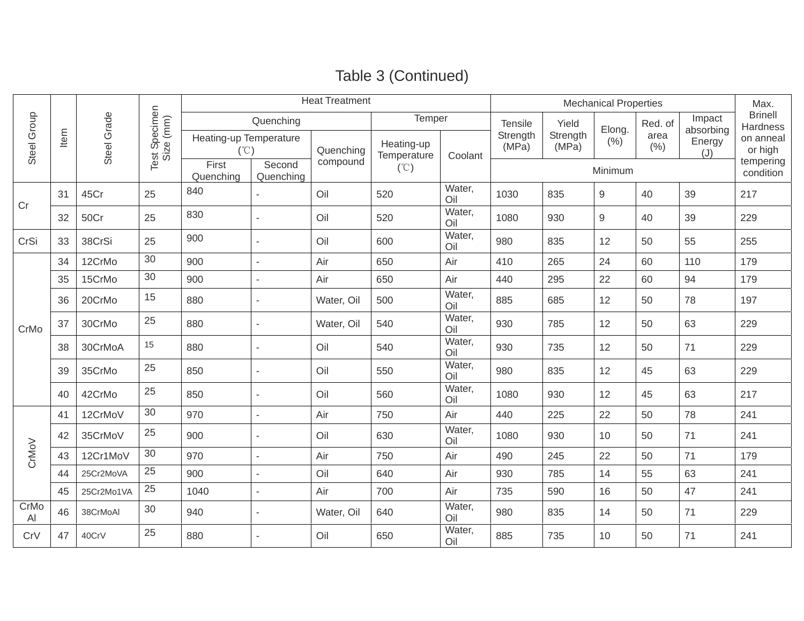|             |      |             |                            |                                                  |                     | <b>Heat Treatment</b> |                           |               |                   |                   | <b>Mechanical Properties</b> |              |                     | Max.                       |
|-------------|------|-------------|----------------------------|--------------------------------------------------|---------------------|-----------------------|---------------------------|---------------|-------------------|-------------------|------------------------------|--------------|---------------------|----------------------------|
|             |      |             |                            |                                                  | Quenching           |                       | Temper                    |               | <b>Tensile</b>    | Yield             | Elong.                       | Red. of      | Impact<br>absorbing | <b>Brinell</b><br>Hardness |
| Steel Group | Item | Steel Grade | Test Specimen<br>Size (mm) | Heating-up Temperature<br>$(^{\circ}\mathrm{C})$ |                     | Quenching             | Heating-up<br>Temperature | Coolant       | Strength<br>(MPa) | Strength<br>(MPa) | (% )                         | area<br>(% ) | Energy<br>(J)       | on anneal<br>or high       |
|             |      |             |                            | First<br>Quenching                               | Second<br>Quenching | compound              | (C)                       |               |                   |                   | Minimum                      |              |                     | tempering<br>condition     |
| Cr          | 31   | 45Cr        | 25                         | 840                                              |                     | Oil                   | 520                       | Water,<br>Oil | 1030              | 835               | 9                            | 40           | 39                  | 217                        |
|             | 32   | 50Cr        | 25                         | 830                                              | $\overline{a}$      | Oil                   | 520                       | Water,<br>Oil | 1080              | 930               | 9                            | 40           | 39                  | 229                        |
| CrSi        | 33   | 38CrSi      | 25                         | 900                                              |                     | Oil                   | 600                       | Water,<br>Oil | 980               | 835               | 12                           | 50           | 55                  | 255                        |
|             | 34   | 12CrMo      | 30                         | 900                                              | L.                  | Air                   | 650                       | Air           | 410               | 265               | 24                           | 60           | 110                 | 179                        |
|             | 35   | 15CrMo      | 30                         | 900                                              | $\overline{a}$      | Air                   | 650                       | Air           | 440               | 295               | 22                           | 60           | 94                  | 179                        |
|             | 36   | 20CrMo      | 15                         | 880                                              | $\overline{a}$      | Water, Oil            | 500                       | Water,<br>Oil | 885               | 685               | 12                           | 50           | 78                  | 197                        |
| CrMo        | 37   | 30CrMo      | 25                         | 880                                              | $\blacksquare$      | Water, Oil            | 540                       | Water,<br>Oil | 930               | 785               | 12                           | 50           | 63                  | 229                        |
|             | 38   | 30CrMoA     | 15                         | 880                                              | $\blacksquare$      | Oil                   | 540                       | Water,<br>Oil | 930               | 735               | 12                           | 50           | 71                  | 229                        |
|             | 39   | 35CrMo      | 25                         | 850                                              | $\overline{a}$      | Oil                   | 550                       | Water,<br>Oil | 980               | 835               | 12                           | 45           | 63                  | 229                        |
|             | 40   | 42CrMo      | 25                         | 850                                              | $\overline{a}$      | Oil                   | 560                       | Water,<br>Oil | 1080              | 930               | 12                           | 45           | 63                  | 217                        |
|             | 41   | 12CrMoV     | 30                         | 970                                              | L.                  | Air                   | 750                       | Air           | 440               | 225               | 22                           | 50           | 78                  | 241                        |
|             | 42   | 35CrMoV     | 25                         | 900                                              | $\blacksquare$      | Oil                   | 630                       | Water,<br>Oil | 1080              | 930               | 10                           | 50           | 71                  | 241                        |
| CrMoV       | 43   | 12Cr1MoV    | 30                         | 970                                              | $\overline{a}$      | Air                   | 750                       | Air           | 490               | 245               | 22                           | 50           | 71                  | 179                        |
|             | 44   | 25Cr2MoVA   | 25                         | 900                                              | $\overline{a}$      | Oil                   | 640                       | Air           | 930               | 785               | 14                           | 55           | 63                  | 241                        |
|             | 45   | 25Cr2Mo1VA  | 25                         | 1040                                             | $\overline{a}$      | Air                   | 700                       | Air           | 735               | 590               | 16                           | 50           | 47                  | 241                        |
| CrMo<br>Al  | 46   | 38CrMoAl    | 30                         | 940                                              | $\overline{a}$      | Water, Oil            | 640                       | Water,<br>Oil | 980               | 835               | 14                           | 50           | 71                  | 229                        |
| CrV         | 47   | 40CrV       | 25                         | 880                                              |                     | Oil                   | 650                       | Water,<br>Oil | 885               | 735               | 10                           | 50           | 71                  | 241                        |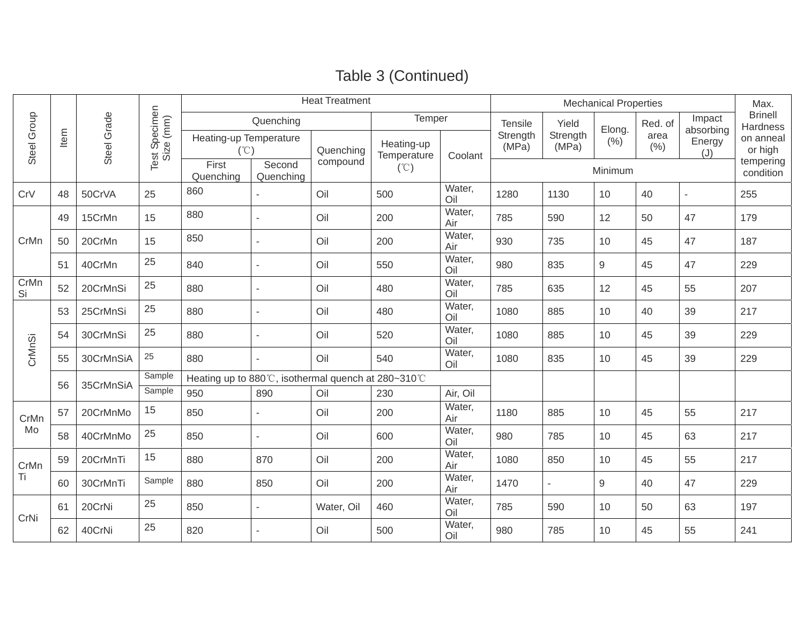|             |      |             |                     |                                |                                                     | <b>Heat Treatment</b>     |         |                     |                            |                | <b>Mechanical Properties</b> |               |                      | Max.                   |
|-------------|------|-------------|---------------------|--------------------------------|-----------------------------------------------------|---------------------------|---------|---------------------|----------------------------|----------------|------------------------------|---------------|----------------------|------------------------|
| Steel Group |      |             | (mm)                |                                | Temper<br>Quenching<br>Tensile<br>Yield             | Elong.                    | Red. of | Impact<br>absorbing | <b>Brinell</b><br>Hardness |                |                              |               |                      |                        |
|             | Item | Steel Grade | Specimen<br>Test Sp | Heating-up Temperature<br>(°C) | Quenching                                           | Heating-up<br>Temperature | Coolant | Strength<br>(MPa)   | Strength<br>(MPa)          | (% )           | area<br>(% )                 | Energy<br>(J) | on anneal<br>or high |                        |
|             |      |             |                     | First<br>Quenching             | Second<br>Quenching                                 | compound                  | (°C)    |                     | Minimum                    |                |                              |               |                      | tempering<br>condition |
| CrV         | 48   | 50CrVA      | 25                  | 860                            |                                                     | Oil                       | 500     | Water,<br>Oil       | 1280                       | 1130           | 10                           | 40            | $\sim$               | 255                    |
|             | 49   | 15CrMn      | 15                  | 880                            |                                                     | Oil                       | 200     | Water,<br>Air       | 785                        | 590            | 12                           | 50            | 47                   | 179                    |
| CrMn        | 50   | 20CrMn      | 15                  | 850                            |                                                     | Oil                       | 200     | Water,<br>Air       | 930                        | 735            | 10                           | 45            | 47                   | 187                    |
|             | 51   | 40CrMn      | 25                  | 840                            | L.                                                  | Oil                       | 550     | Water,<br>Oil       | 980                        | 835            | $9\,$                        | 45            | 47                   | 229                    |
| CrMn<br>Si  | 52   | 20CrMnSi    | 25                  | 880                            | $\overline{\phantom{a}}$                            | Oil                       | 480     | Water,<br>Oil       | 785                        | 635            | 12                           | 45            | 55                   | 207                    |
|             | 53   | 25CrMnSi    | 25                  | 880                            | $\overline{a}$                                      | Oil                       | 480     | Water,<br>Oil       | 1080                       | 885            | 10                           | 40            | 39                   | 217                    |
|             | 54   | 30CrMnSi    | 25                  | 880                            | L.                                                  | Oil                       | 520     | Water,<br>Oil       | 1080                       | 885            | 10                           | 45            | 39                   | 229                    |
| CrMnSi      | 55   | 30CrMnSiA   | 25                  | 880                            | $\overline{\phantom{a}}$                            | Oil                       | 540     | Water,<br>Oil       | 1080                       | 835            | 10                           | 45            | 39                   | 229                    |
|             | 56   | 35CrMnSiA   | Sample              |                                | Heating up to 880°C, isothermal quench at 280~310°C |                           |         |                     |                            |                |                              |               |                      |                        |
|             |      |             | Sample              | 950                            | 890                                                 | Oil                       | 230     | Air, Oil            |                            |                |                              |               |                      |                        |
| CrMn        | 57   | 20CrMnMo    | 15                  | 850                            | $\overline{\phantom{a}}$                            | Oil                       | 200     | Water,<br>Air       | 1180                       | 885            | 10                           | 45            | 55                   | 217                    |
| Mo          | 58   | 40CrMnMo    | 25                  | 850                            | $\overline{a}$                                      | Oil                       | 600     | Water,<br>Oil       | 980                        | 785            | 10                           | 45            | 63                   | 217                    |
| CrMn        | 59   | 20CrMnTi    | 15                  | 880                            | 870                                                 | Oil                       | 200     | Water,<br>Air       | 1080                       | 850            | 10                           | 45            | 55                   | 217                    |
| Τi          | 60   | 30CrMnTi    | Sample              | 880                            | 850                                                 | Oil                       | 200     | Water,<br>Air       | 1470                       | $\overline{a}$ | 9                            | 40            | 47                   | 229                    |
| CrNi        | 61   | 20CrNi      | 25                  | 850                            |                                                     | Water, Oil                | 460     | Water,<br>Oil       | 785                        | 590            | 10                           | 50            | 63                   | 197                    |
|             | 62   | 40CrNi      | 25                  | 820                            |                                                     | Oil                       | 500     | Water,<br>Oil       | 980                        | 785            | 10                           | 45            | 55                   | 241                    |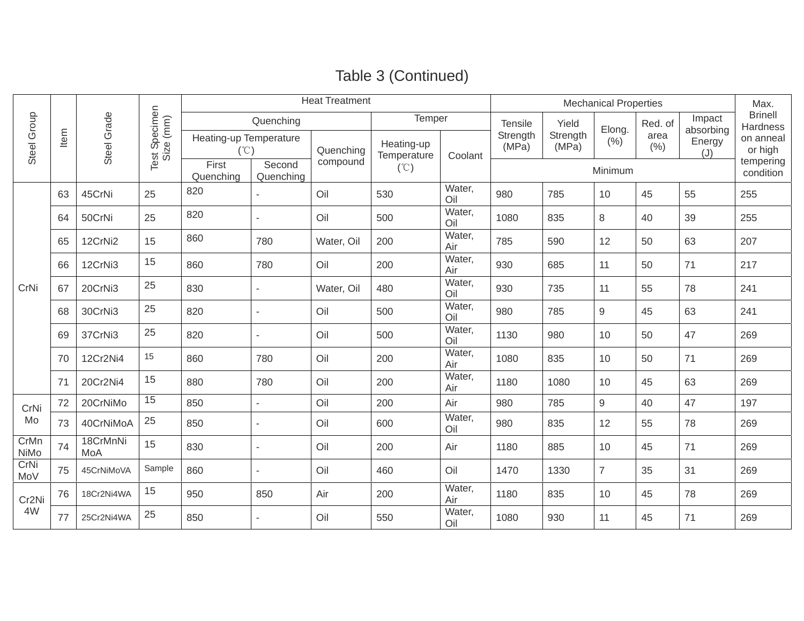| Steel Group  |      |                 |                          |                                |                     | <b>Heat Treatment</b> |                           |               |                                   |                   | <b>Mechanical Properties</b> |                     |                                   | Max.                   |
|--------------|------|-----------------|--------------------------|--------------------------------|---------------------|-----------------------|---------------------------|---------------|-----------------------------------|-------------------|------------------------------|---------------------|-----------------------------------|------------------------|
|              |      |                 | (mm)                     |                                | Quenching           |                       | Temper                    |               | <b>Tensile</b><br>Yield<br>Elong. |                   | Red. of                      | Impact<br>absorbing | <b>Brinell</b><br><b>Hardness</b> |                        |
|              | Item | Steel Grade     | Specimen<br>Size<br>Test | Heating-up Temperature<br>(°C) |                     | Quenching             | Heating-up<br>Temperature | Coolant       | Strength<br>(MPa)                 | Strength<br>(MPa) | (% )                         | area<br>(% )        | Energy<br>(J)                     | on anneal<br>or high   |
|              |      |                 |                          | First<br>Quenching             | Second<br>Quenching | compound              | $(^{\circ}\mathrm{C})$    |               |                                   |                   | Minimum                      |                     |                                   | tempering<br>condition |
|              | 63   | 45CrNi          | 25                       | 820                            |                     | Oil                   | 530                       | Water,<br>Oil | 980                               | 785               | 10                           | 45                  | 55                                | 255                    |
|              | 64   | 50CrNi          | 25                       | 820                            |                     | Oil                   | 500                       | Water,<br>Oil | 1080                              | 835               | 8                            | 40                  | 39                                | 255                    |
|              | 65   | 12CrNi2         | 15                       | 860                            | 780                 | Water, Oil            | 200                       | Water,<br>Air | 785                               | 590               | 12                           | 50                  | 63                                | 207                    |
| CrNi         | 66   | 12CrNi3         | 15                       | 860                            | 780                 | Oil                   | 200                       | Water,<br>Air | 930                               | 685               | 11                           | 50                  | 71                                | 217                    |
|              | 67   | 20CrNi3         | 25                       | 830                            | $\overline{a}$      | Water, Oil            | 480                       | Water,<br>Oil | 930                               | 735               | 11                           | 55                  | 78                                | 241                    |
|              | 68   | 30CrNi3         | 25                       | 820                            | $\blacksquare$      | Oil                   | 500                       | Water,<br>Oil | 980                               | 785               | 9                            | 45                  | 63                                | 241                    |
|              | 69   | 37CrNi3         | 25                       | 820                            | $\overline{a}$      | Oil                   | 500                       | Water,<br>Oil | 1130                              | 980               | 10                           | 50                  | 47                                | 269                    |
|              | 70   | 12Cr2Ni4        | 15                       | 860                            | 780                 | Oil                   | 200                       | Water,<br>Air | 1080                              | 835               | 10                           | 50                  | 71                                | 269                    |
|              | 71   | 20Cr2Ni4        | 15                       | 880                            | 780                 | Oil                   | 200                       | Water,<br>Air | 1180                              | 1080              | 10                           | 45                  | 63                                | 269                    |
| CrNi         | 72   | 20CrNiMo        | 15                       | 850                            |                     | Oil                   | 200                       | Air           | 980                               | 785               | $9\,$                        | 40                  | 47                                | 197                    |
| Mo           | 73   | 40CrNiMoA       | 25                       | 850                            |                     | Oil                   | 600                       | Water,<br>Oil | 980                               | 835               | 12                           | 55                  | 78                                | 269                    |
| CrMn<br>NiMo | 74   | 18CrMnNi<br>MoA | 15                       | 830                            |                     | Oil                   | 200                       | Air           | 1180                              | 885               | 10                           | 45                  | 71                                | 269                    |
| CrNi<br>MoV  | 75   | 45CrNiMoVA      | Sample                   | 860                            |                     | Oil                   | 460                       | Oil           | 1470                              | 1330              | $\overline{7}$               | 35                  | 31                                | 269                    |
| Cr2Ni<br>4W  | 76   | 18Cr2Ni4WA      | 15                       | 950                            | 850                 | Air                   | 200                       | Water,<br>Air | 1180                              | 835               | 10                           | 45                  | 78                                | 269                    |
|              | 77   | 25Cr2Ni4WA      | 25                       | 850                            |                     | Oil                   | 550                       | Water,<br>Oil | 1080                              | 930               | 11                           | 45                  | 71                                | 269                    |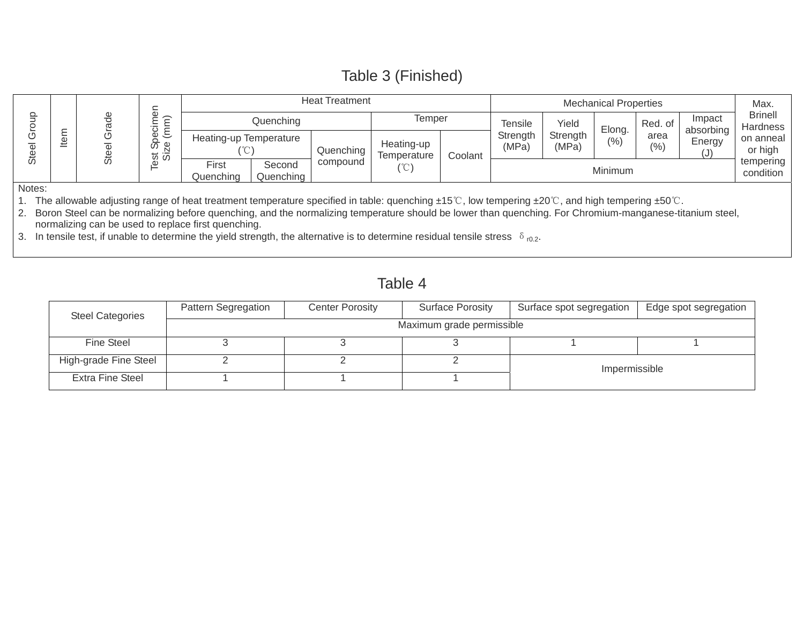## Table 3 (Finished)

|                                         |   | ⊂                        |                        |                     | <b>Heat Treatment</b> |                           |         | <b>Mechanical Properties</b> |                   |         |              | Max.                |                                   |
|-----------------------------------------|---|--------------------------|------------------------|---------------------|-----------------------|---------------------------|---------|------------------------------|-------------------|---------|--------------|---------------------|-----------------------------------|
| ≏                                       |   |                          | Quenching              |                     |                       | Temper                    |         | <b>Tensile</b>               | Yield             | Elong.  | Red. of      | Impact              | <b>Brinell</b><br><b>Hardness</b> |
| ৩<br>Φ<br>∸<br>$\overline{\Phi}$<br>Ste |   | Φ<br>ミ<br>တိ<br>Φ<br>ನ ಸ | Heating-up Temperature |                     | Quenching             | Heating-up<br>Temperature | Coolant | Strength<br>(MPa)            | Strength<br>(MPa) | (% )    | area<br>(% ) | absorbing<br>Energy | on anneal<br>or high              |
|                                         | Ó |                          | First<br>Quenching     | Second<br>Quenching | compound              | $\sim$<br>$^{\circ}$ C .  |         |                              |                   | Minimum |              |                     | tempering<br>condition            |

Notes:

1. The allowable adjusting range of heat treatment temperature specified in table: quenching ±15℃, low tempering ±20℃, and high tempering ±50℃.

2. Boron Steel can be normalizing before quenching, and the normalizing temperature should be lower than quenching. For Chromium-manganese-titanium steel, normalizing can be used to replace first quenching.

3. In tensile test, if unable to determine the yield strength, the alternative is to determine residual tensile stress  $\delta_{r0.2}$ .

## Table 4

| <b>Steel Categories</b> | Pattern Segregation       | Center Porosity | <b>Surface Porosity</b> | Surface spot segregation | Edge spot segregation |  |  |  |  |  |
|-------------------------|---------------------------|-----------------|-------------------------|--------------------------|-----------------------|--|--|--|--|--|
|                         | Maximum grade permissible |                 |                         |                          |                       |  |  |  |  |  |
| <b>Fine Steel</b>       |                           |                 |                         |                          |                       |  |  |  |  |  |
| High-grade Fine Steel   |                           |                 |                         | Impermissible            |                       |  |  |  |  |  |
| <b>Extra Fine Steel</b> |                           |                 |                         |                          |                       |  |  |  |  |  |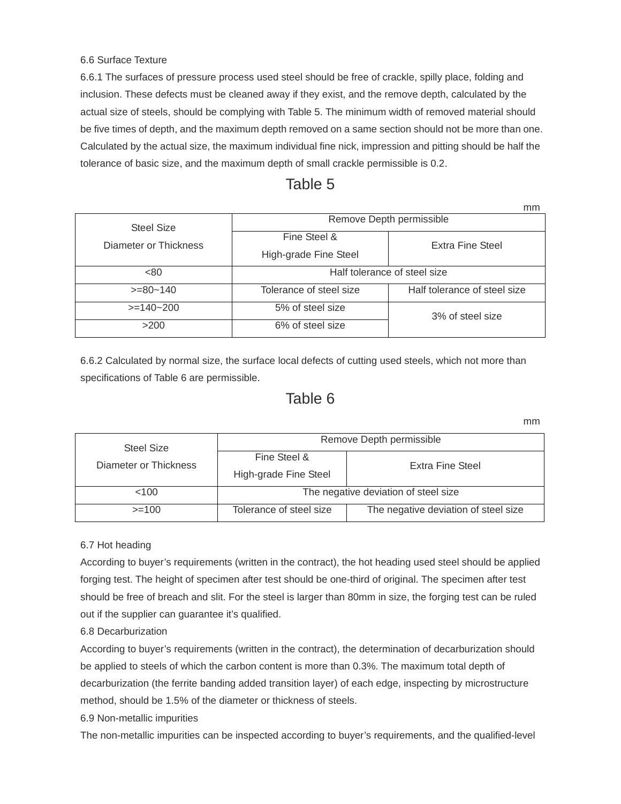6.6 Surface Texture

6.6.1 The surfaces of pressure process used steel should be free of crackle, spilly place, folding and inclusion. These defects must be cleaned away if they exist, and the remove depth, calculated by the actual size of steels, should be complying with Table 5. The minimum width of removed material should be five times of depth, and the maximum depth removed on a same section should not be more than one. Calculated by the actual size, the maximum individual fine nick, impression and pitting should be half the tolerance of basic size, and the maximum depth of small crackle permissible is 0.2.

## Table 5

|                       |                              | mm                           |  |  |  |  |
|-----------------------|------------------------------|------------------------------|--|--|--|--|
| Steel Size            | Remove Depth permissible     |                              |  |  |  |  |
| Diameter or Thickness | Fine Steel &                 | Extra Fine Steel             |  |  |  |  |
|                       | High-grade Fine Steel        |                              |  |  |  |  |
| <80                   | Half tolerance of steel size |                              |  |  |  |  |
| $>= 80 - 140$         | Tolerance of steel size      | Half tolerance of steel size |  |  |  |  |
| $>=140-200$           | 5% of steel size             | 3% of steel size             |  |  |  |  |
| >200                  | 6% of steel size             |                              |  |  |  |  |

6.6.2 Calculated by normal size, the surface local defects of cutting used steels, which not more than specifications of Table 6 are permissible.

## Table 6

mm

| Steel Size            |                                      | Remove Depth permissible             |  |  |
|-----------------------|--------------------------------------|--------------------------------------|--|--|
| Diameter or Thickness | Fine Steel &                         | Extra Fine Steel                     |  |  |
|                       | High-grade Fine Steel                |                                      |  |  |
| $<$ 100               | The negative deviation of steel size |                                      |  |  |
| $>=100$               | Tolerance of steel size              | The negative deviation of steel size |  |  |

#### 6.7 Hot heading

According to buyer's requirements (written in the contract), the hot heading used steel should be applied forging test. The height of specimen after test should be one-third of original. The specimen after test should be free of breach and slit. For the steel is larger than 80mm in size, the forging test can be ruled out if the supplier can guarantee it's qualified.

#### 6.8 Decarburization

According to buyer's requirements (written in the contract), the determination of decarburization should be applied to steels of which the carbon content is more than 0.3%. The maximum total depth of decarburization (the ferrite banding added transition layer) of each edge, inspecting by microstructure method, should be 1.5% of the diameter or thickness of steels.

6.9 Non-metallic impurities

The non-metallic impurities can be inspected according to buyer's requirements, and the qualified-level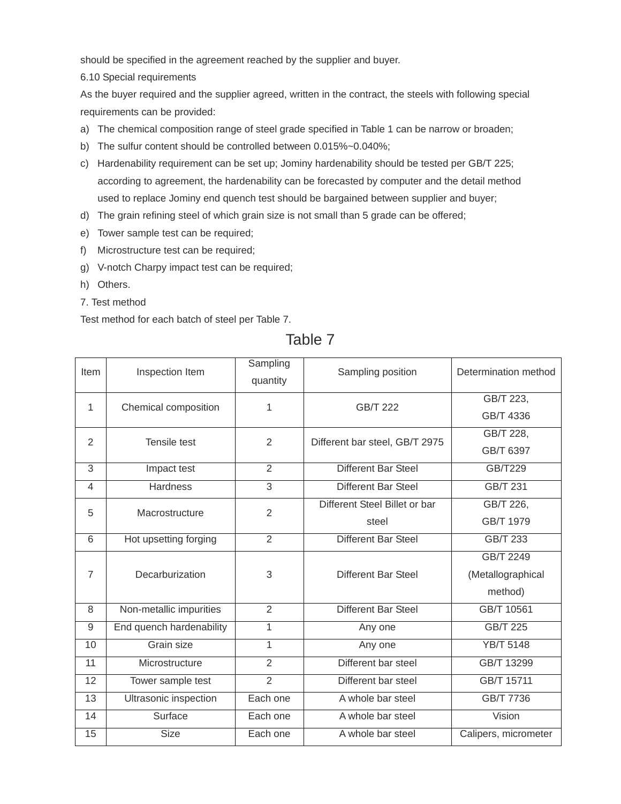should be specified in the agreement reached by the supplier and buyer.

6.10 Special requirements

As the buyer required and the supplier agreed, written in the contract, the steels with following special requirements can be provided:

- a) The chemical composition range of steel grade specified in Table 1 can be narrow or broaden;
- b) The sulfur content should be controlled between 0.015%~0.040%;
- c) Hardenability requirement can be set up; Jominy hardenability should be tested per GB/T 225; according to agreement, the hardenability can be forecasted by computer and the detail method used to replace Jominy end quench test should be bargained between supplier and buyer;
- d) The grain refining steel of which grain size is not small than 5 grade can be offered;
- e) Tower sample test can be required;
- f) Microstructure test can be required;
- g) V-notch Charpy impact test can be required;
- h) Others.
- 7. Test method

Test method for each batch of steel per Table 7.

| lable |  |
|-------|--|
|-------|--|

| Item                     | Inspection Item          | Sampling<br>quantity | Sampling position              | Determination method |
|--------------------------|--------------------------|----------------------|--------------------------------|----------------------|
| 1                        | Chemical composition     | 1                    | <b>GB/T 222</b>                | GB/T 223,            |
|                          |                          |                      |                                | GB/T 4336            |
| $\overline{2}$           | Tensile test             | $\overline{2}$       | Different bar steel, GB/T 2975 | GB/T 228,            |
|                          |                          |                      |                                | GB/T 6397            |
| 3                        | Impact test              | $\overline{2}$       | Different Bar Steel            | <b>GB/T229</b>       |
| $\overline{\mathcal{A}}$ | <b>Hardness</b>          | 3                    | <b>Different Bar Steel</b>     | GB/T 231             |
| 5                        | Macrostructure           | $\overline{2}$       | Different Steel Billet or bar  | GB/T 226,            |
|                          |                          |                      | steel                          | GB/T 1979            |
| 6                        | Hot upsetting forging    | $\overline{2}$       | <b>Different Bar Steel</b>     | GB/T 233             |
|                          |                          |                      |                                | GB/T 2249            |
| $\overline{7}$           | Decarburization          | 3                    | <b>Different Bar Steel</b>     | (Metallographical    |
|                          |                          |                      |                                | method)              |
| 8                        | Non-metallic impurities  | $\overline{2}$       | <b>Different Bar Steel</b>     | GB/T 10561           |
| $\overline{9}$           | End quench hardenability | 1                    | Any one                        | <b>GB/T 225</b>      |
| 10                       | Grain size               | 1                    | Any one                        | <b>YB/T 5148</b>     |
| 11                       | Microstructure           | $\overline{2}$       | Different bar steel            | GB/T 13299           |
| 12                       | Tower sample test        | $\overline{2}$       | Different bar steel            | GB/T 15711           |
| 13                       | Ultrasonic inspection    | Each one             | A whole bar steel              | GB/T 7736            |
| 14                       | Surface                  | Each one             | A whole bar steel              | Vision               |
| 15                       | Size                     | Each one             | A whole bar steel              | Calipers, micrometer |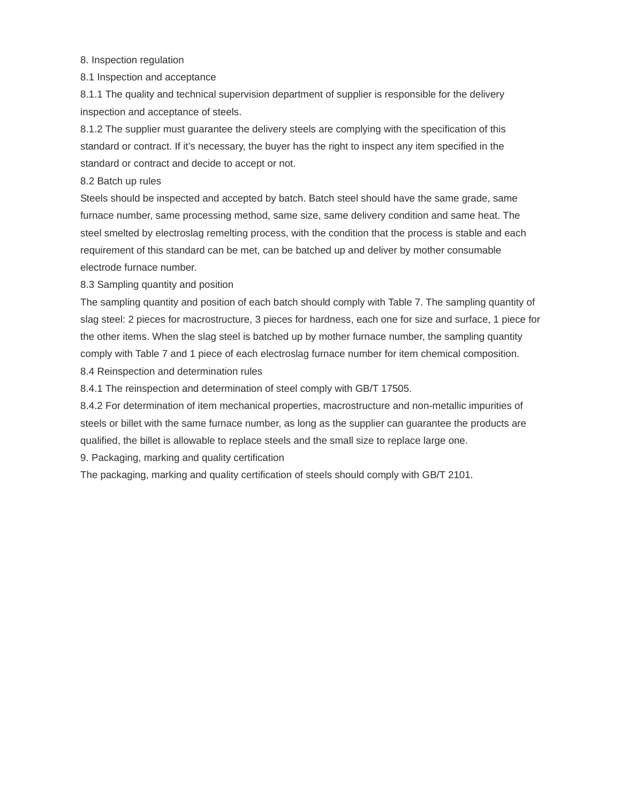8. Inspection regulation

8.1 Inspection and acceptance

8.1.1 The quality and technical supervision department of supplier is responsible for the delivery inspection and acceptance of steels.

8.1.2 The supplier must guarantee the delivery steels are complying with the specification of this standard or contract. If it's necessary, the buyer has the right to inspect any item specified in the standard or contract and decide to accept or not.

8.2 Batch up rules

Steels should be inspected and accepted by batch. Batch steel should have the same grade, same furnace number, same processing method, same size, same delivery condition and same heat. The steel smelted by electroslag remelting process, with the condition that the process is stable and each requirement of this standard can be met, can be batched up and deliver by mother consumable electrode furnace number.

8.3 Sampling quantity and position

The sampling quantity and position of each batch should comply with Table 7. The sampling quantity of slag steel: 2 pieces for macrostructure, 3 pieces for hardness, each one for size and surface, 1 piece for the other items. When the slag steel is batched up by mother furnace number, the sampling quantity comply with Table 7 and 1 piece of each electroslag furnace number for item chemical composition. 8.4 Reinspection and determination rules

8.4.1 The reinspection and determination of steel comply with GB/T 17505.

8.4.2 For determination of item mechanical properties, macrostructure and non-metallic impurities of steels or billet with the same furnace number, as long as the supplier can guarantee the products are qualified, the billet is allowable to replace steels and the small size to replace large one.

9. Packaging, marking and quality certification

The packaging, marking and quality certification of steels should comply with GB/T 2101.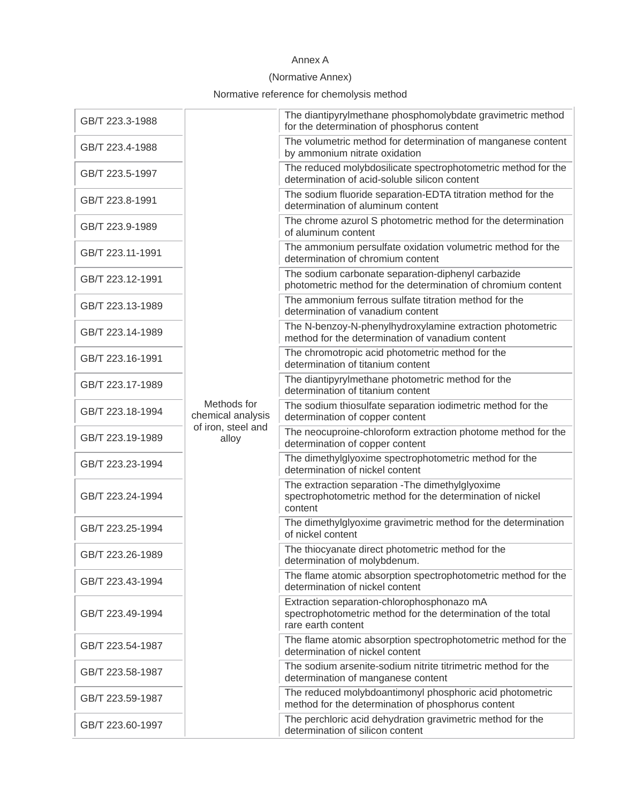#### Annex A

### (Normative Annex)

### Normative reference for chemolysis method

| GB/T 223.3-1988  |                                  | The diantipyrylmethane phosphomolybdate gravimetric method<br>for the determination of phosphorus content                        |
|------------------|----------------------------------|----------------------------------------------------------------------------------------------------------------------------------|
| GB/T 223.4-1988  |                                  | The volumetric method for determination of manganese content<br>by ammonium nitrate oxidation                                    |
| GB/T 223.5-1997  |                                  | The reduced molybdosilicate spectrophotometric method for the<br>determination of acid-soluble silicon content                   |
| GB/T 223.8-1991  |                                  | The sodium fluoride separation-EDTA titration method for the<br>determination of aluminum content                                |
| GB/T 223.9-1989  |                                  | The chrome azurol S photometric method for the determination<br>of aluminum content                                              |
| GB/T 223.11-1991 |                                  | The ammonium persulfate oxidation volumetric method for the<br>determination of chromium content                                 |
| GB/T 223.12-1991 |                                  | The sodium carbonate separation-diphenyl carbazide<br>photometric method for the determination of chromium content               |
| GB/T 223.13-1989 |                                  | The ammonium ferrous sulfate titration method for the<br>determination of vanadium content                                       |
| GB/T 223.14-1989 |                                  | The N-benzoy-N-phenylhydroxylamine extraction photometric<br>method for the determination of vanadium content                    |
| GB/T 223.16-1991 |                                  | The chromotropic acid photometric method for the<br>determination of titanium content                                            |
| GB/T 223.17-1989 |                                  | The diantipyrylmethane photometric method for the<br>determination of titanium content                                           |
| GB/T 223.18-1994 | Methods for<br>chemical analysis | The sodium thiosulfate separation iodimetric method for the<br>determination of copper content                                   |
| GB/T 223.19-1989 | of iron, steel and<br>alloy      | The neocuproine-chloroform extraction photome method for the<br>determination of copper content                                  |
| GB/T 223.23-1994 |                                  | The dimethylglyoxime spectrophotometric method for the<br>determination of nickel content                                        |
| GB/T 223.24-1994 |                                  | The extraction separation - The dimethylglyoxime<br>spectrophotometric method for the determination of nickel<br>content         |
| GB/T 223.25-1994 |                                  | The dimethylglyoxime gravimetric method for the determination<br>of nickel content                                               |
| GB/T 223.26-1989 |                                  | The thiocyanate direct photometric method for the<br>determination of molybdenum.                                                |
| GB/T 223.43-1994 |                                  | The flame atomic absorption spectrophotometric method for the<br>determination of nickel content                                 |
| GB/T 223.49-1994 |                                  | Extraction separation-chlorophosphonazo mA<br>spectrophotometric method for the determination of the total<br>rare earth content |
| GB/T 223.54-1987 |                                  | The flame atomic absorption spectrophotometric method for the<br>determination of nickel content                                 |
| GB/T 223.58-1987 |                                  | The sodium arsenite-sodium nitrite titrimetric method for the<br>determination of manganese content                              |
| GB/T 223.59-1987 |                                  | The reduced molybdoantimonyl phosphoric acid photometric<br>method for the determination of phosphorus content                   |
| GB/T 223.60-1997 |                                  | The perchloric acid dehydration gravimetric method for the<br>determination of silicon content                                   |